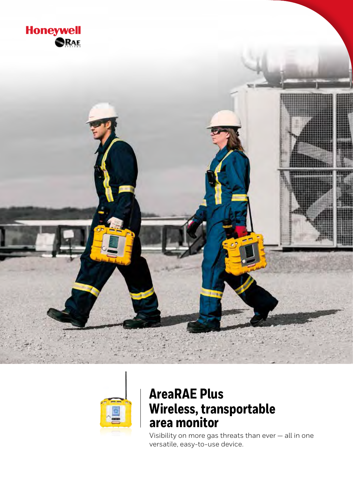



# **AreaRAE Plus Wireless, transportable area monitor**

Visibility on more gas threats than ever — all in one versatile, easy-to-use device.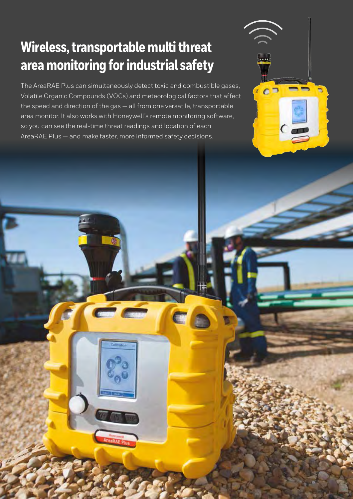# **Wireless, transportable multi threat area monitoring for industrial safety**

2

The AreaRAE Plus can simultaneously detect toxic and combustible gases, Volatile Organic Compounds (VOCs) and meteorological factors that affect the speed and direction of the gas — all from one versatile, transportable area monitor. It also works with Honeywell's remote monitoring software, so you can see the real-time threat readings and location of each AreaRAE Plus — and make faster, more informed safety decisions.

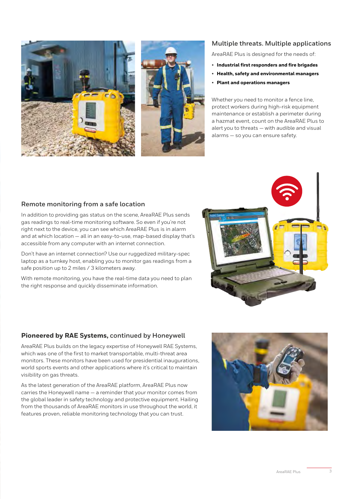



### **Multiple threats. Multiple applications**

AreaRAE Plus is designed for the needs of:

- **Industrial first responders and fire brigades**
- **Health, safety and environmental managers**
- **Plant and operations managers**

Whether you need to monitor a fence line, protect workers during high-risk equipment maintenance or establish a perimeter during a hazmat event, count on the AreaRAE Plus to alert you to threats — with audible and visual alarms — so you can ensure safety.

#### **Remote monitoring from a safe location**

In addition to providing gas status on the scene, AreaRAE Plus sends gas readings to real-time monitoring software. So even if you're not right next to the device, you can see which AreaRAE Plus is in alarm and at which location — all in an easy-to-use, map-based display that's accessible from any computer with an internet connection.

Don't have an internet connection? Use our ruggedized military-spec laptop as a turnkey host, enabling you to monitor gas readings from a safe position up to 2 miles / 3 kilometers away.

With remote monitoring, you have the real-time data you need to plan the right response and quickly disseminate information.



#### **Pioneered by RAE Systems, continued by Honeywell**

AreaRAE Plus builds on the legacy expertise of Honeywell RAE Systems, which was one of the first to market transportable, multi-threat area monitors. These monitors have been used for presidential inaugurations, world sports events and other applications where it's critical to maintain visibility on gas threats.

As the latest generation of the AreaRAE platform, AreaRAE Plus now carries the Honeywell name — a reminder that your monitor comes from the global leader in safety technology and protective equipment. Hailing from the thousands of AreaRAE monitors in use throughout the world, it features proven, reliable monitoring technology that you can trust.

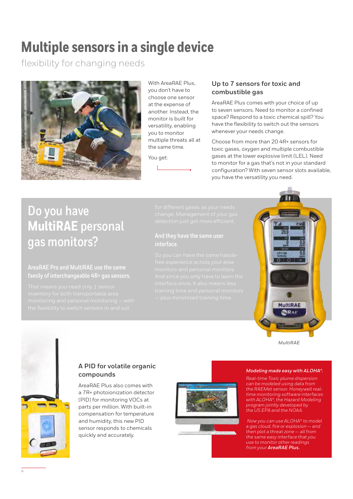# **Multiple sensors in a single device**

flexibility for changing needs



With AreaRAF Plus you don't have to choose one sensor at the expense of another. Instead, the monitor is built for versatility, enabling you to monitor multiple threats all at the same time.

You get:

### **Up to 7 sensors for toxic and combustible gas**

AreaRAE Plus comes with your choice of up to seven sensors. Need to monitor a confined space? Respond to a toxic chemical spill? You have the flexibility to switch out the sensors whenever your needs change.

Choose from more than 20 4R+ sensors for toxic gases, oxygen and multiple combustible gases at the lower explosive limit (LEL). Need to monitor for a gas that's not in your standard configuration? With seven sensor slots available, you have the versatility you need.

## **Do you have MultiRAE personal gas monitors?**

### **AreaRAE Pro and MultiRAE use the same family of interchangeable 4R+ gas sensors.**

# **interface.**



*MultiRAE*

## **A PID for volatile organic compounds**

AreaRAE Plus also comes with a 7R+ photoionization detector (PID) for monitoring VOCs at parts per million. With built-in compensation for temperature and humidity, this new PID sensor responds to chemicals quickly and accurately.



#### *Modeling made easy with ALOHA®.*

*Real-time Toxic plume dispersion can be modeled using data from the RAEMet sensor. Honeywell realtime monitoring software interfaces with ALOHA®, the Hazard Modeling program jointly developed by the US EPA and the NOAA.*

 *Now you can use ALOHA® to model a gas cloud, fire or explosion — and then plot a threat zone — all from the same easy interface that you use to monitor other readings from your AreaRAE Plus.*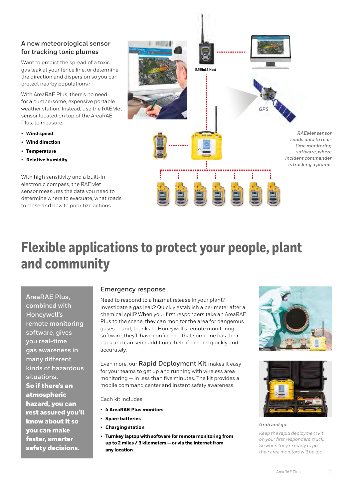### **A new meteorological sensor for tracking toxic plumes**

Want to predict the spread of a toxic gas leak at your fence line, or determine the direction and dispersion so you can protect nearby populations?

With AreaRAE Plus, there's no need for a cumbersome, expensive portable weather station. Instead, use the RAEMet sensor located on top of the AreaRAE Plus, to measure:

- **Wind speed**
- **Wind direction**
- **Temperature**
- **Relative humidity**

With high sensitivity and a built-in electronic compass, the RAEMet sensor measures the data you need to determine where to evacuate, what roads to close and how to prioritize actions.



# **Flexible applications to protect your people, plant and community**

**AreaRAE Plus, combined with Honeywell's remote monitoring software, gives you real-time gas awareness in many different kinds of hazardous situations.** 

So if there's an atmospheric hazard, you can rest assured you'll know about it so you can make faster, smarter safety decisions.

### **Emergency response**

Need to respond to a hazmat release in your plant? Investigate a gas leak? Quickly establish a perimeter after a chemical spill? When your first responders take an AreaRAE Plus to the scene, they can monitor the area for dangerous gases — and, thanks to Honeywell's remote monitoring software, they'll have confidence that someone has their back and can send additional help if needed quickly and accurately.

Even more, our **Rapid Deployment Kit** makes it easy for your teams to get up and running with wireless area monitoring — in less than five minutes. The kit provides a mobile command center and instant safety awareness.

Each kit includes:

- **4 AreaRAE Plus monitors**
- **Spare batteries**
- **Charging station**
- **Turnkey laptop with software for remote monitoring from up to 2 miles / 3 kilometers — or via the internet from any location**





*Grab and go.*

*Keep the rapid deployment kit on your first responders' truck. So when they're ready to go, their area monitors will be too.*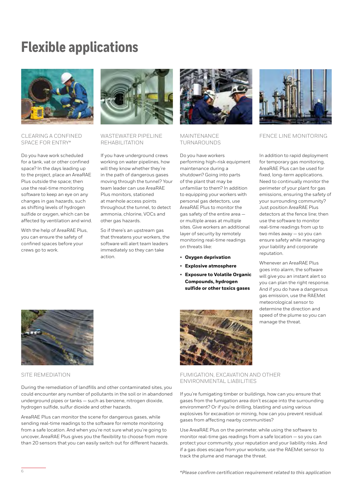# **Flexible applications**



#### CLEARING A CONFINED SPACE FOR ENTRY\*

Do you have work scheduled for a tank, vat or other confined space? In the days leading up to the project, place an AreaRAE Plus outside the space; then use the real-time monitoring software to keep an eye on any changes in gas hazards, such as shifting levels of hydrogen sulfide or oxygen, which can be affected by ventilation and wind.

With the help of AreaRAE Plus, you can ensure the safety of confined spaces before your crews go to work.



#### WASTEWATER PIPELINE REHABILITATION

If you have underground crews working on water pipelines, how will they know whether they're in the path of dangerous gases moving through the tunnel? Your team leader can use AreaRAE Plus monitors, stationed at manhole access points throughout the tunnel, to detect ammonia, chlorine, VOCs and other gas hazards.

So if there's an upstream gas that threatens your workers, the software will alert team leaders immediately so they can take action.



#### MAINTENANCE TURNAROUNDS

Do you have workers performing high-risk equipment maintenance during a shutdown? Going into parts of the plant that may be unfamiliar to them? In addition to equipping your workers with personal gas detectors, use AreaRAE Plus to monitor the gas safety of the entire area or multiple areas at multiple sites. Give workers an additional layer of security by remotely monitoring real-time readings on threats like:

- **Oxygen deprivation**
- **Explosive atmosphere**
- **Exposure to Volatile Organic Compounds, hydrogen sulfide or other toxics gases**



#### FENCE LINE MONITORING

In addition to rapid deployment for temporary gas monitoring, AreaRAE Plus can be used for fixed, long-term applications. Need to continually monitor the perimeter of your plant for gas emissions, ensuring the safety of your surrounding community? Just position AreaRAE Plus detectors at the fence line; then use the software to monitor real-time readings from up to two miles away — so you can ensure safety while managing your liability and corporate reputation.

Whenever an AreaRAE Plus goes into alarm, the software will give you an instant alert so you can plan the right response. And if you do have a dangerous gas emission, use the RAEMet meteorological sensor to determine the direction and speed of the plume so you can manage the threat.



#### SITE REMEDIATION

During the remediation of landfills and other contaminated sites, you could encounter any number of pollutants in the soil or in abandoned underground pipes or tanks — such as benzene, nitrogen dioxide, hydrogen sulfide, sulfur dioxide and other hazards.

AreaRAE Plus can monitor the scene for dangerous gases, while sending real-time readings to the software for remote monitoring from a safe location. And when you're not sure what you're going to uncover, AreaRAE Plus gives you the flexibility to choose from more than 20 sensors that you can easily switch out for different hazards.



FUMIGATION, EXCAVATION AND OTHER ENVIRONMENTAL LIABILITIES

If you're fumigating timber or buildings, how can you ensure that gases from the fumigation area don't escape into the surrounding environment? Or if you're drilling, blasting and using various explosives for excavation or mining, how can you prevent residual gases from affecting nearby communities?

Use AreaRAE Plus on the perimeter, while using the software to monitor real-time gas readings from a safe location — so you can protect your community, your reputation and your liability risks. And if a gas does escape from your worksite, use the RAEMet sensor to track the plume and manage the threat.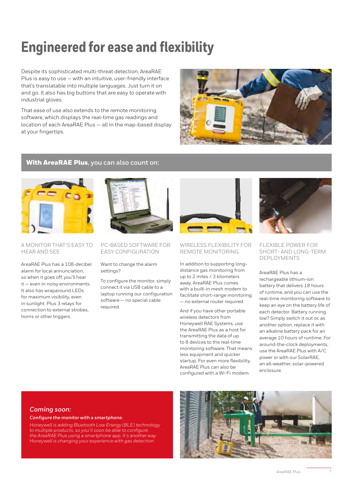# **Engineered for ease and flexibility**

Despite its sophisticated multi-threat detection, AreaRAE Plus is easy to use — with an intuitive, user-friendly interface that's translatable into multiple languages. Just turn it on and go. It also has big buttons that are easy to operate with industrial gloves.

That ease of use also extends to the remote monitoring software, which displays the real-time gas readings and location of each AreaRAE Plus — all in the map-based display at your fingertips.



### With AreaRAE Plus**, you can also count on:**



#### A MONITOR THAT'S EASY TO HEAR AND SEE

AreaRAE Plus has a 108-decibel alarm for local annunciation, so when it goes off, you'll hear it — even in noisy environments. It also has wraparound LEDs for maximum visibility, even in sunlight. Plus 3 relays for connection to external strobes, horns or other triggers.



#### PC-BASED SOFTWARE FOR EASY CONFIGURATION

Want to change the alarm settings?

To configure the monitor, simply connect it via USB cable to a laptop running our configuration software — no special cable required.



#### WIRELESS FLEXIBILITY FOR REMOTE MONITORING

In addition to supporting longdistance gas monitoring from up to 2 miles / 3 kilometers away, AreaRAE Plus comes with a built-in mesh modem to facilitate short-range monitoring — no external router required.

And if you have other portable wireless detectors from Honeywell RAE Systems, use the AreaRAE Plus as a host for transmitting the data of up to 8 devices to the real-time monitoring software. That means less equipment and quicker startup. For even more flexibility, AreaRAE Plus can also be configured with a Wi-Fi modem.



#### FLEXIBLE POWER FOR SHORT- AND LONG-TERM DEPLOYMENTS

AreaRAE Plus has a rechargeable lithium-ion battery that delivers 18 hours of runtime, and you can use the real-time monitoring software to keep an eye on the battery life of each detector. Battery running low? Simply switch it out or, as another option, replace it with an alkaline battery pack for an average 10 hours of runtime. For around-the-clock deployments, use the AreaRAE Plus with A/C power or with our SolarRAE, an all-weather, solar-powered enclosure.

#### *Coming soon:*

*Configure the monitor with a smartphone.*

*Honeywell is adding Bluetooth Low Energy (BLE) technology to multiple products, so you'll soon be able to configure the AreaRAE Plus using a smartphone app. It's another way Honeywell is changing your experience with gas detection.*